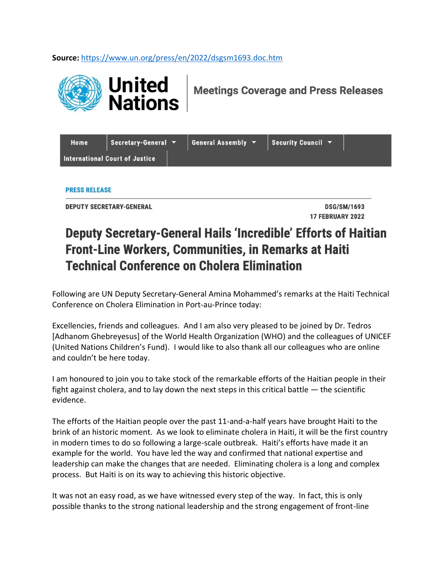**Source:** <https://www.un.org/press/en/2022/dsgsm1693.doc.htm>



**Meetings Coverage and Press Releases** 

| Home                           | Secretary-General |  | General Assembly $\blacktriangledown$ | Security Council $\blacktriangledown$ |  |
|--------------------------------|-------------------|--|---------------------------------------|---------------------------------------|--|
| International Court of Justice |                   |  |                                       |                                       |  |

**PRESS RELEASE** 

**DEPUTY SECRETARY-GENERAL** 

**DSG/SM/1693** 17 FEBRUARY 2022

## **Deputy Secretary-General Hails 'Incredible' Efforts of Haitian Front-Line Workers, Communities, in Remarks at Haiti Technical Conference on Cholera Elimination**

Following are UN Deputy Secretary-General Amina Mohammed's remarks at the Haiti Technical Conference on Cholera Elimination in Port-au-Prince today:

Excellencies, friends and colleagues. And I am also very pleased to be joined by Dr. Tedros [Adhanom Ghebreyesus] of the World Health Organization (WHO) and the colleagues of UNICEF (United Nations Children's Fund). I would like to also thank all our colleagues who are online and couldn't be here today.

I am honoured to join you to take stock of the remarkable efforts of the Haitian people in their fight against cholera, and to lay down the next steps in this critical battle — the scientific evidence.

The efforts of the Haitian people over the past 11-and-a-half years have brought Haiti to the brink of an historic moment. As we look to eliminate cholera in Haiti, it will be the first country in modern times to do so following a large-scale outbreak. Haiti's efforts have made it an example for the world. You have led the way and confirmed that national expertise and leadership can make the changes that are needed. Eliminating cholera is a long and complex process. But Haiti is on its way to achieving this historic objective.

It was not an easy road, as we have witnessed every step of the way. In fact, this is only possible thanks to the strong national leadership and the strong engagement of front-line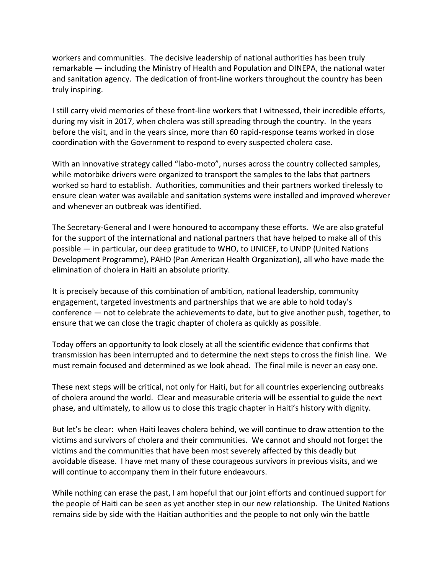workers and communities. The decisive leadership of national authorities has been truly remarkable — including the Ministry of Health and Population and DINEPA, the national water and sanitation agency. The dedication of front-line workers throughout the country has been truly inspiring.

I still carry vivid memories of these front-line workers that I witnessed, their incredible efforts, during my visit in 2017, when cholera was still spreading through the country. In the years before the visit, and in the years since, more than 60 rapid-response teams worked in close coordination with the Government to respond to every suspected cholera case.

With an innovative strategy called "labo-moto", nurses across the country collected samples, while motorbike drivers were organized to transport the samples to the labs that partners worked so hard to establish. Authorities, communities and their partners worked tirelessly to ensure clean water was available and sanitation systems were installed and improved wherever and whenever an outbreak was identified.

The Secretary-General and I were honoured to accompany these efforts. We are also grateful for the support of the international and national partners that have helped to make all of this possible — in particular, our deep gratitude to WHO, to UNICEF, to UNDP (United Nations Development Programme), PAHO (Pan American Health Organization), all who have made the elimination of cholera in Haiti an absolute priority.

It is precisely because of this combination of ambition, national leadership, community engagement, targeted investments and partnerships that we are able to hold today's conference — not to celebrate the achievements to date, but to give another push, together, to ensure that we can close the tragic chapter of cholera as quickly as possible.

Today offers an opportunity to look closely at all the scientific evidence that confirms that transmission has been interrupted and to determine the next steps to cross the finish line. We must remain focused and determined as we look ahead. The final mile is never an easy one.

These next steps will be critical, not only for Haiti, but for all countries experiencing outbreaks of cholera around the world. Clear and measurable criteria will be essential to guide the next phase, and ultimately, to allow us to close this tragic chapter in Haiti's history with dignity.

But let's be clear: when Haiti leaves cholera behind, we will continue to draw attention to the victims and survivors of cholera and their communities. We cannot and should not forget the victims and the communities that have been most severely affected by this deadly but avoidable disease. I have met many of these courageous survivors in previous visits, and we will continue to accompany them in their future endeavours.

While nothing can erase the past, I am hopeful that our joint efforts and continued support for the people of Haiti can be seen as yet another step in our new relationship. The United Nations remains side by side with the Haitian authorities and the people to not only win the battle